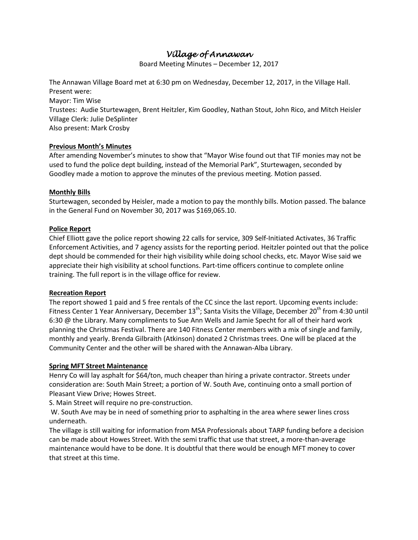# *Village of Annawan*

Board Meeting Minutes – December 12, 2017

The Annawan Village Board met at 6:30 pm on Wednesday, December 12, 2017, in the Village Hall. Present were: Mayor: Tim Wise Trustees: Audie Sturtewagen, Brent Heitzler, Kim Goodley, Nathan Stout, John Rico, and Mitch Heisler

Village Clerk: Julie DeSplinter Also present: Mark Crosby

# **Previous Month's Minutes**

After amending November's minutes to show that "Mayor Wise found out that TIF monies may not be used to fund the police dept building, instead of the Memorial Park", Sturtewagen, seconded by Goodley made a motion to approve the minutes of the previous meeting. Motion passed.

# **Monthly Bills**

Sturtewagen, seconded by Heisler, made a motion to pay the monthly bills. Motion passed. The balance in the General Fund on November 30, 2017 was \$169,065.10.

# **Police Report**

Chief Elliott gave the police report showing 22 calls for service, 309 Self-Initiated Activates, 36 Traffic Enforcement Activities, and 7 agency assists for the reporting period. Heitzler pointed out that the police dept should be commended for their high visibility while doing school checks, etc. Mayor Wise said we appreciate their high visibility at school functions. Part-time officers continue to complete online training. The full report is in the village office for review.

## **Recreation Report**

The report showed 1 paid and 5 free rentals of the CC since the last report. Upcoming events include: Fitness Center 1 Year Anniversary, December 13<sup>th</sup>; Santa Visits the Village, December 20<sup>th</sup> from 4:30 until 6:30 @ the Library. Many compliments to Sue Ann Wells and Jamie Specht for all of their hard work planning the Christmas Festival. There are 140 Fitness Center members with a mix of single and family, monthly and yearly. Brenda Gilbraith (Atkinson) donated 2 Christmas trees. One will be placed at the Community Center and the other will be shared with the Annawan-Alba Library.

## **Spring MFT Street Maintenance**

Henry Co will lay asphalt for \$64/ton, much cheaper than hiring a private contractor. Streets under consideration are: South Main Street; a portion of W. South Ave, continuing onto a small portion of Pleasant View Drive; Howes Street.

S. Main Street will require no pre-construction.

W. South Ave may be in need of something prior to asphalting in the area where sewer lines cross underneath.

The village is still waiting for information from MSA Professionals about TARP funding before a decision can be made about Howes Street. With the semi traffic that use that street, a more-than-average maintenance would have to be done. It is doubtful that there would be enough MFT money to cover that street at this time.